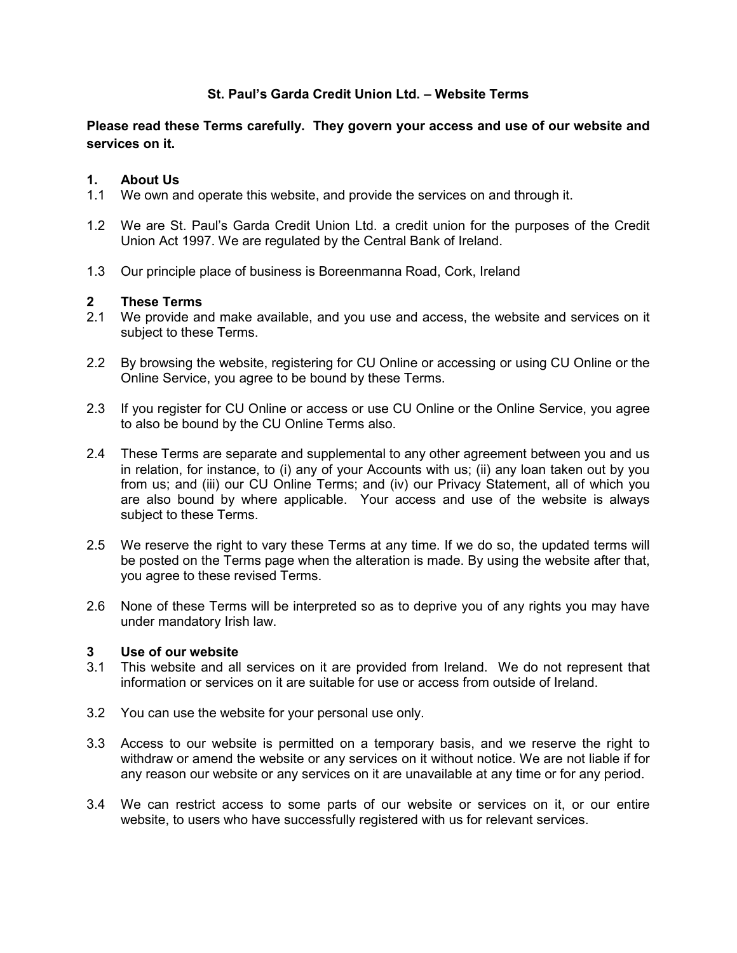# **St. Paul's Garda Credit Union Ltd. – Website Terms**

**Please read these Terms carefully. They govern your access and use of our website and services on it.** 

## **1. About Us**

- 1.1 We own and operate this website, and provide the services on and through it.
- 1.2 We are St. Paul's Garda Credit Union Ltd. a credit union for the purposes of the Credit Union Act 1997. We are regulated by the Central Bank of Ireland.
- 1.3 Our principle place of business is Boreenmanna Road, Cork, Ireland

#### **2 These Terms**

- 2.1 We provide and make available, and you use and access, the website and services on it subject to these Terms.
- 2.2 By browsing the website, registering for CU Online or accessing or using CU Online or the Online Service, you agree to be bound by these Terms.
- 2.3 If you register for CU Online or access or use CU Online or the Online Service, you agree to also be bound by the CU Online Terms also.
- 2.4 These Terms are separate and supplemental to any other agreement between you and us in relation, for instance, to (i) any of your Accounts with us; (ii) any loan taken out by you from us; and (iii) our CU Online Terms; and (iv) our Privacy Statement, all of which you are also bound by where applicable. Your access and use of the website is always subject to these Terms.
- 2.5 We reserve the right to vary these Terms at any time. If we do so, the updated terms will be posted on the Terms page when the alteration is made. By using the website after that, you agree to these revised Terms.
- 2.6 None of these Terms will be interpreted so as to deprive you of any rights you may have under mandatory Irish law.

#### **3 Use of our website**

- 3.1 This website and all services on it are provided from Ireland. We do not represent that information or services on it are suitable for use or access from outside of Ireland.
- 3.2 You can use the website for your personal use only.
- 3.3 Access to our website is permitted on a temporary basis, and we reserve the right to withdraw or amend the website or any services on it without notice. We are not liable if for any reason our website or any services on it are unavailable at any time or for any period.
- 3.4 We can restrict access to some parts of our website or services on it, or our entire website, to users who have successfully registered with us for relevant services.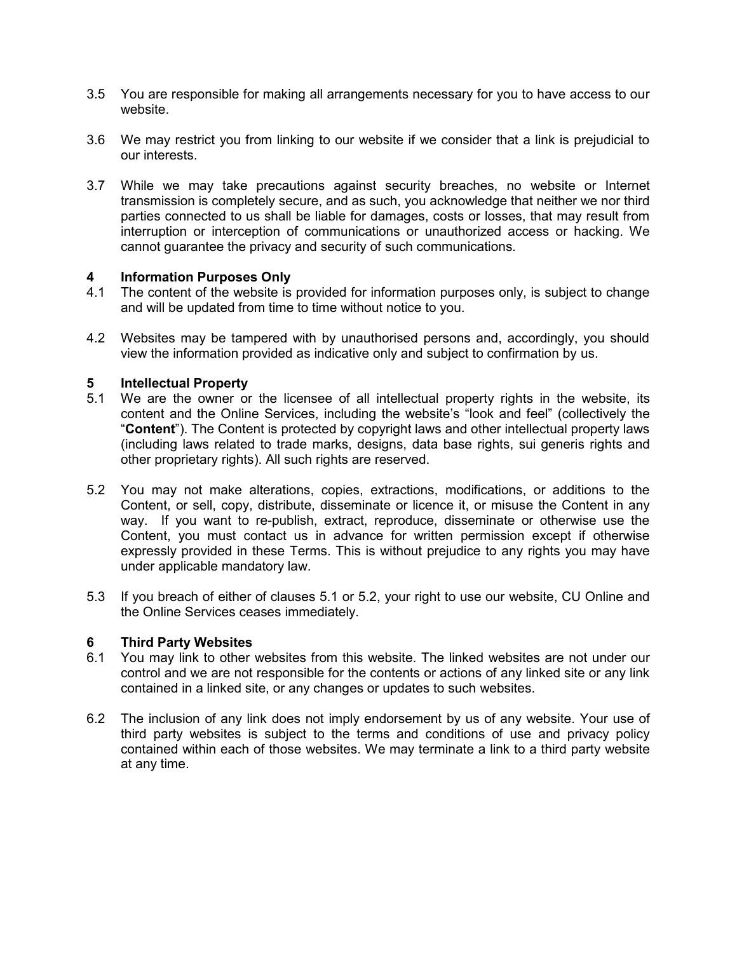- 3.5 You are responsible for making all arrangements necessary for you to have access to our website.
- 3.6 We may restrict you from linking to our website if we consider that a link is prejudicial to our interests.
- 3.7 While we may take precautions against security breaches, no website or Internet transmission is completely secure, and as such, you acknowledge that neither we nor third parties connected to us shall be liable for damages, costs or losses, that may result from interruption or interception of communications or unauthorized access or hacking. We cannot guarantee the privacy and security of such communications.

## **4 Information Purposes Only**

- 4.1 The content of the website is provided for information purposes only, is subject to change and will be updated from time to time without notice to you.
- 4.2 Websites may be tampered with by unauthorised persons and, accordingly, you should view the information provided as indicative only and subject to confirmation by us.

## **5 Intellectual Property**

- 5.1 We are the owner or the licensee of all intellectual property rights in the website, its content and the Online Services, including the website's "look and feel" (collectively the "**Content**"). The Content is protected by copyright laws and other intellectual property laws (including laws related to trade marks, designs, data base rights, sui generis rights and other proprietary rights). All such rights are reserved.
- 5.2 You may not make alterations, copies, extractions, modifications, or additions to the Content, or sell, copy, distribute, disseminate or licence it, or misuse the Content in any way. If you want to re-publish, extract, reproduce, disseminate or otherwise use the Content, you must contact us in advance for written permission except if otherwise expressly provided in these Terms. This is without prejudice to any rights you may have under applicable mandatory law.
- 5.3 If you breach of either of clauses 5.1 or 5.2, your right to use our website, CU Online and the Online Services ceases immediately.

#### **6 Third Party Websites**

- 6.1 You may link to other websites from this website. The linked websites are not under our control and we are not responsible for the contents or actions of any linked site or any link contained in a linked site, or any changes or updates to such websites.
- 6.2 The inclusion of any link does not imply endorsement by us of any website. Your use of third party websites is subject to the terms and conditions of use and privacy policy contained within each of those websites. We may terminate a link to a third party website at any time.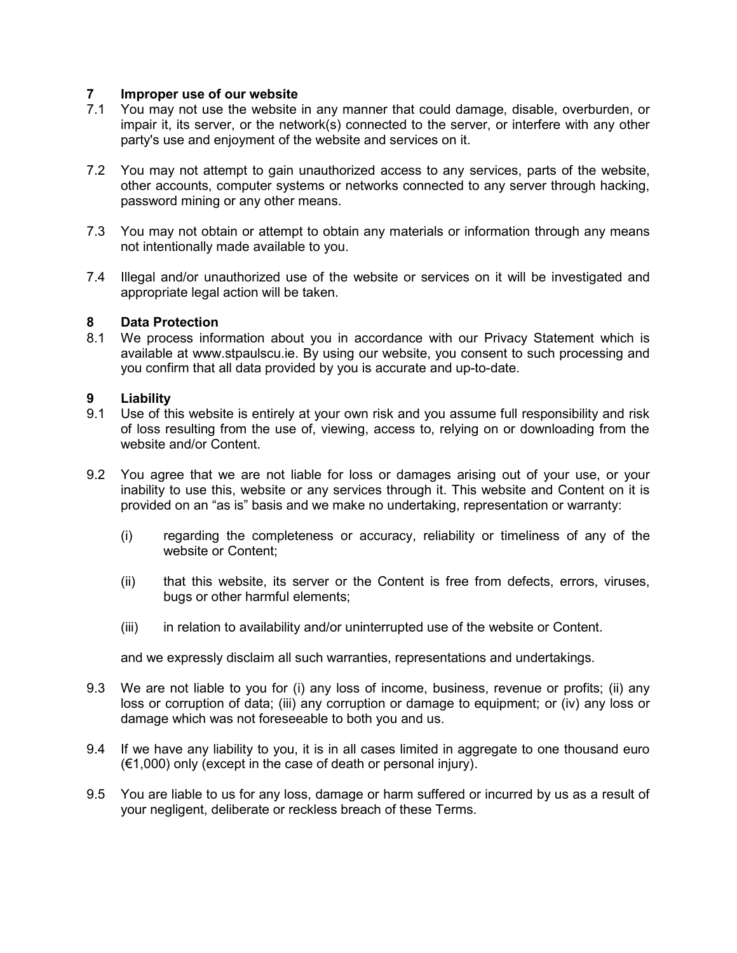## **7 Improper use of our website**

- 7.1 You may not use the website in any manner that could damage, disable, overburden, or impair it, its server, or the network(s) connected to the server, or interfere with any other party's use and enjoyment of the website and services on it.
- 7.2 You may not attempt to gain unauthorized access to any services, parts of the website, other accounts, computer systems or networks connected to any server through hacking, password mining or any other means.
- 7.3 You may not obtain or attempt to obtain any materials or information through any means not intentionally made available to you.
- 7.4 Illegal and/or unauthorized use of the website or services on it will be investigated and appropriate legal action will be taken.

#### **8 Data Protection**

8.1 We process information about you in accordance with our Privacy Statement which is available at www.stpaulscu.ie. By using our website, you consent to such processing and you confirm that all data provided by you is accurate and up-to-date.

#### **9 Liability**

- 9.1 Use of this website is entirely at your own risk and you assume full responsibility and risk of loss resulting from the use of, viewing, access to, relying on or downloading from the website and/or Content.
- 9.2 You agree that we are not liable for loss or damages arising out of your use, or your inability to use this, website or any services through it. This website and Content on it is provided on an "as is" basis and we make no undertaking, representation or warranty:
	- (i) regarding the completeness or accuracy, reliability or timeliness of any of the website or Content;
	- (ii) that this website, its server or the Content is free from defects, errors, viruses, bugs or other harmful elements;
	- (iii) in relation to availability and/or uninterrupted use of the website or Content.

and we expressly disclaim all such warranties, representations and undertakings.

- 9.3 We are not liable to you for (i) any loss of income, business, revenue or profits; (ii) any loss or corruption of data; (iii) any corruption or damage to equipment; or (iv) any loss or damage which was not foreseeable to both you and us.
- 9.4 If we have any liability to you, it is in all cases limited in aggregate to one thousand euro (€1,000) only (except in the case of death or personal injury).
- 9.5 You are liable to us for any loss, damage or harm suffered or incurred by us as a result of your negligent, deliberate or reckless breach of these Terms.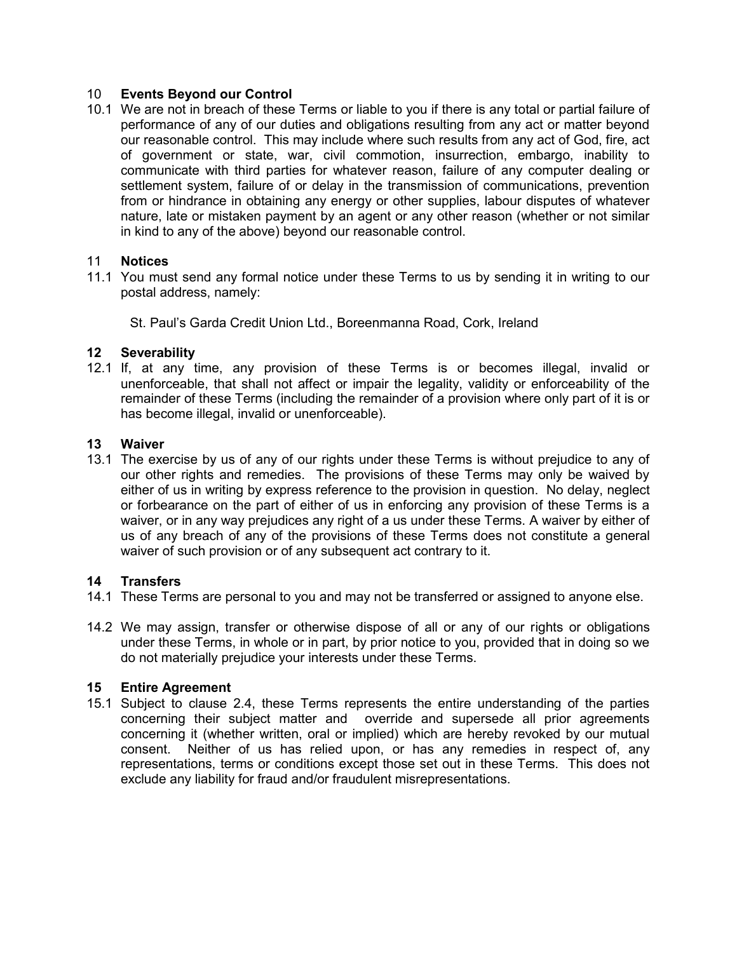## 10 **Events Beyond our Control**

10.1 We are not in breach of these Terms or liable to you if there is any total or partial failure of performance of any of our duties and obligations resulting from any act or matter beyond our reasonable control. This may include where such results from any act of God, fire, act of government or state, war, civil commotion, insurrection, embargo, inability to communicate with third parties for whatever reason, failure of any computer dealing or settlement system, failure of or delay in the transmission of communications, prevention from or hindrance in obtaining any energy or other supplies, labour disputes of whatever nature, late or mistaken payment by an agent or any other reason (whether or not similar in kind to any of the above) beyond our reasonable control.

## 11 **Notices**

11.1 You must send any formal notice under these Terms to us by sending it in writing to our postal address, namely:

St. Paul's Garda Credit Union Ltd., Boreenmanna Road, Cork, Ireland

## **12 Severability**

12.1 If, at any time, any provision of these Terms is or becomes illegal, invalid or unenforceable, that shall not affect or impair the legality, validity or enforceability of the remainder of these Terms (including the remainder of a provision where only part of it is or has become illegal, invalid or unenforceable).

## **13 Waiver**

13.1 The exercise by us of any of our rights under these Terms is without prejudice to any of our other rights and remedies. The provisions of these Terms may only be waived by either of us in writing by express reference to the provision in question. No delay, neglect or forbearance on the part of either of us in enforcing any provision of these Terms is a waiver, or in any way prejudices any right of a us under these Terms. A waiver by either of us of any breach of any of the provisions of these Terms does not constitute a general waiver of such provision or of any subsequent act contrary to it.

#### **14 Transfers**

- 14.1 These Terms are personal to you and may not be transferred or assigned to anyone else.
- 14.2 We may assign, transfer or otherwise dispose of all or any of our rights or obligations under these Terms, in whole or in part, by prior notice to you, provided that in doing so we do not materially prejudice your interests under these Terms.

#### **15 Entire Agreement**

15.1 Subject to clause 2.4, these Terms represents the entire understanding of the parties concerning their subject matter and override and supersede all prior agreements concerning it (whether written, oral or implied) which are hereby revoked by our mutual consent. Neither of us has relied upon, or has any remedies in respect of, any representations, terms or conditions except those set out in these Terms. This does not exclude any liability for fraud and/or fraudulent misrepresentations.